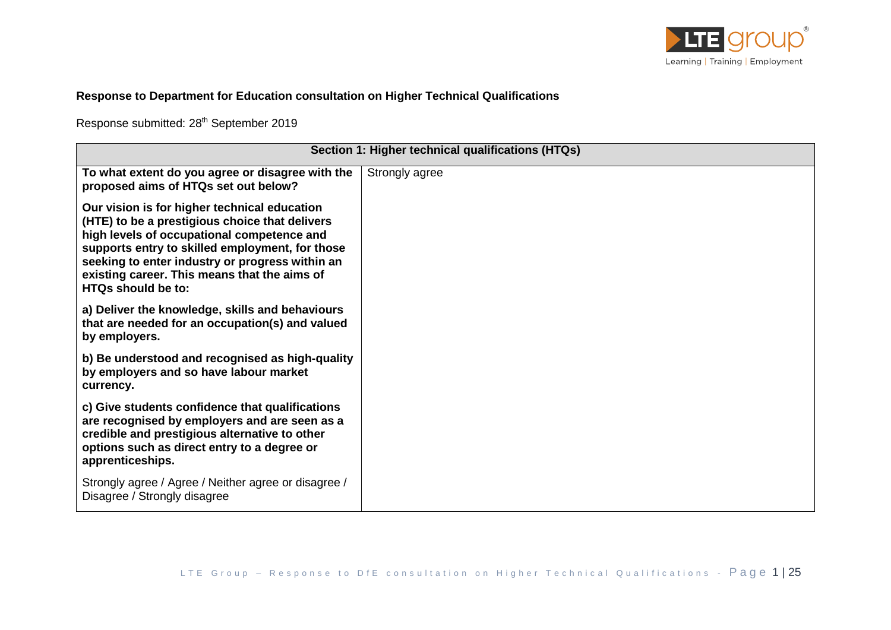

## **Response to Department for Education consultation on Higher Technical Qualifications**

Response submitted: 28<sup>th</sup> September 2019

|                                                                                                                                                                                                                                                                                                                                 | Section 1: Higher technical qualifications (HTQs) |
|---------------------------------------------------------------------------------------------------------------------------------------------------------------------------------------------------------------------------------------------------------------------------------------------------------------------------------|---------------------------------------------------|
| To what extent do you agree or disagree with the<br>proposed aims of HTQs set out below?                                                                                                                                                                                                                                        | Strongly agree                                    |
| Our vision is for higher technical education<br>(HTE) to be a prestigious choice that delivers<br>high levels of occupational competence and<br>supports entry to skilled employment, for those<br>seeking to enter industry or progress within an<br>existing career. This means that the aims of<br><b>HTQs should be to:</b> |                                                   |
| a) Deliver the knowledge, skills and behaviours<br>that are needed for an occupation(s) and valued<br>by employers.                                                                                                                                                                                                             |                                                   |
| b) Be understood and recognised as high-quality<br>by employers and so have labour market<br>currency.                                                                                                                                                                                                                          |                                                   |
| c) Give students confidence that qualifications<br>are recognised by employers and are seen as a<br>credible and prestigious alternative to other<br>options such as direct entry to a degree or<br>apprenticeships.                                                                                                            |                                                   |
| Strongly agree / Agree / Neither agree or disagree /<br>Disagree / Strongly disagree                                                                                                                                                                                                                                            |                                                   |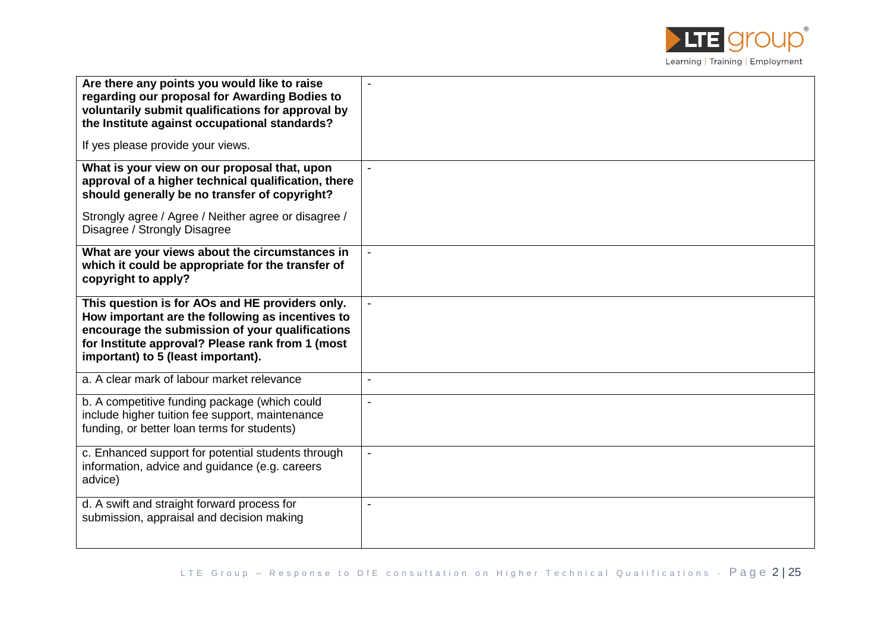

| Are there any points you would like to raise<br>regarding our proposal for Awarding Bodies to<br>voluntarily submit qualifications for approval by<br>the Institute against occupational standards?                                              |                          |
|--------------------------------------------------------------------------------------------------------------------------------------------------------------------------------------------------------------------------------------------------|--------------------------|
| If yes please provide your views.                                                                                                                                                                                                                |                          |
| What is your view on our proposal that, upon<br>approval of a higher technical qualification, there<br>should generally be no transfer of copyright?                                                                                             | $\blacksquare$           |
| Strongly agree / Agree / Neither agree or disagree /<br>Disagree / Strongly Disagree                                                                                                                                                             |                          |
| What are your views about the circumstances in<br>which it could be appropriate for the transfer of<br>copyright to apply?                                                                                                                       |                          |
| This question is for AOs and HE providers only.<br>How important are the following as incentives to<br>encourage the submission of your qualifications<br>for Institute approval? Please rank from 1 (most<br>important) to 5 (least important). |                          |
| a. A clear mark of labour market relevance                                                                                                                                                                                                       |                          |
| b. A competitive funding package (which could<br>include higher tuition fee support, maintenance<br>funding, or better loan terms for students)                                                                                                  | $\overline{\phantom{a}}$ |
| c. Enhanced support for potential students through<br>information, advice and guidance (e.g. careers<br>advice)                                                                                                                                  | $\blacksquare$           |
| d. A swift and straight forward process for<br>submission, appraisal and decision making                                                                                                                                                         | $\blacksquare$           |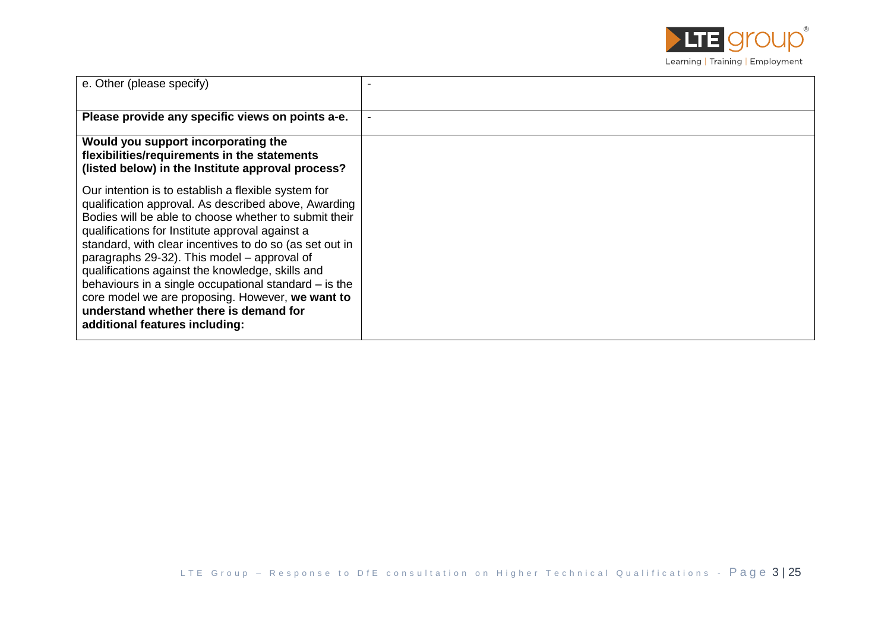

| e. Other (please specify)                                                                                                                                                                                                                                                                                                                                                                                                                                                                                                                                                      |  |
|--------------------------------------------------------------------------------------------------------------------------------------------------------------------------------------------------------------------------------------------------------------------------------------------------------------------------------------------------------------------------------------------------------------------------------------------------------------------------------------------------------------------------------------------------------------------------------|--|
| Please provide any specific views on points a-e.                                                                                                                                                                                                                                                                                                                                                                                                                                                                                                                               |  |
| Would you support incorporating the<br>flexibilities/requirements in the statements<br>(listed below) in the Institute approval process?                                                                                                                                                                                                                                                                                                                                                                                                                                       |  |
| Our intention is to establish a flexible system for<br>qualification approval. As described above, Awarding<br>Bodies will be able to choose whether to submit their<br>qualifications for Institute approval against a<br>standard, with clear incentives to do so (as set out in<br>paragraphs 29-32). This model – approval of<br>qualifications against the knowledge, skills and<br>behaviours in a single occupational standard – is the<br>core model we are proposing. However, we want to<br>understand whether there is demand for<br>additional features including: |  |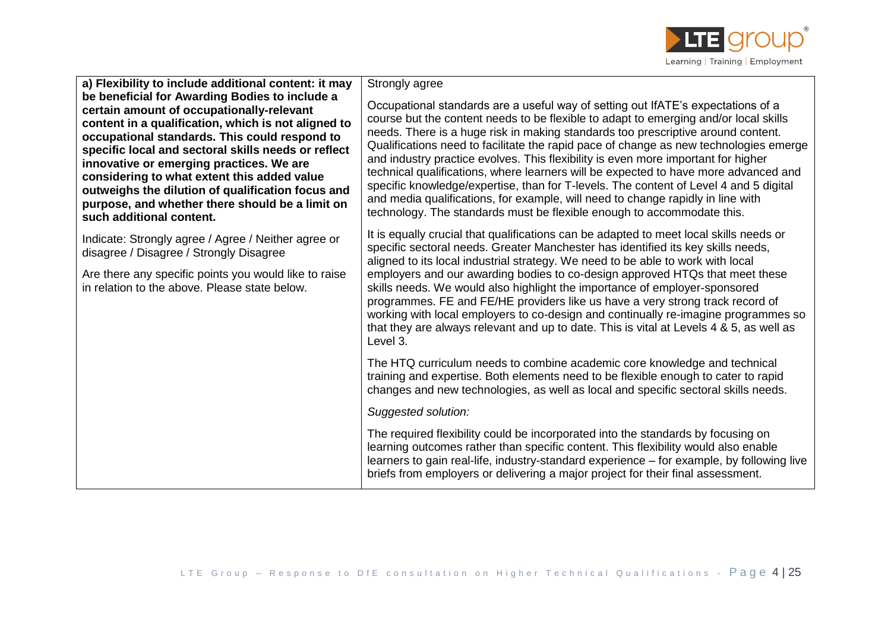

| a) Flexibility to include additional content: it may<br>be beneficial for Awarding Bodies to include a<br>certain amount of occupationally-relevant<br>content in a qualification, which is not aligned to<br>occupational standards. This could respond to<br>specific local and sectoral skills needs or reflect<br>innovative or emerging practices. We are<br>considering to what extent this added value<br>outweighs the dilution of qualification focus and<br>purpose, and whether there should be a limit on<br>such additional content. | Strongly agree<br>Occupational standards are a useful way of setting out IfATE's expectations of a<br>course but the content needs to be flexible to adapt to emerging and/or local skills<br>needs. There is a huge risk in making standards too prescriptive around content.<br>Qualifications need to facilitate the rapid pace of change as new technologies emerge<br>and industry practice evolves. This flexibility is even more important for higher<br>technical qualifications, where learners will be expected to have more advanced and<br>specific knowledge/expertise, than for T-levels. The content of Level 4 and 5 digital<br>and media qualifications, for example, will need to change rapidly in line with<br>technology. The standards must be flexible enough to accommodate this. |
|---------------------------------------------------------------------------------------------------------------------------------------------------------------------------------------------------------------------------------------------------------------------------------------------------------------------------------------------------------------------------------------------------------------------------------------------------------------------------------------------------------------------------------------------------|-----------------------------------------------------------------------------------------------------------------------------------------------------------------------------------------------------------------------------------------------------------------------------------------------------------------------------------------------------------------------------------------------------------------------------------------------------------------------------------------------------------------------------------------------------------------------------------------------------------------------------------------------------------------------------------------------------------------------------------------------------------------------------------------------------------|
| Indicate: Strongly agree / Agree / Neither agree or<br>disagree / Disagree / Strongly Disagree<br>Are there any specific points you would like to raise<br>in relation to the above. Please state below.                                                                                                                                                                                                                                                                                                                                          | It is equally crucial that qualifications can be adapted to meet local skills needs or<br>specific sectoral needs. Greater Manchester has identified its key skills needs,<br>aligned to its local industrial strategy. We need to be able to work with local<br>employers and our awarding bodies to co-design approved HTQs that meet these<br>skills needs. We would also highlight the importance of employer-sponsored<br>programmes. FE and FE/HE providers like us have a very strong track record of<br>working with local employers to co-design and continually re-imagine programmes so<br>that they are always relevant and up to date. This is vital at Levels 4 & 5, as well as<br>Level 3.                                                                                                 |
|                                                                                                                                                                                                                                                                                                                                                                                                                                                                                                                                                   | The HTQ curriculum needs to combine academic core knowledge and technical<br>training and expertise. Both elements need to be flexible enough to cater to rapid<br>changes and new technologies, as well as local and specific sectoral skills needs.                                                                                                                                                                                                                                                                                                                                                                                                                                                                                                                                                     |
|                                                                                                                                                                                                                                                                                                                                                                                                                                                                                                                                                   | Suggested solution:                                                                                                                                                                                                                                                                                                                                                                                                                                                                                                                                                                                                                                                                                                                                                                                       |
|                                                                                                                                                                                                                                                                                                                                                                                                                                                                                                                                                   | The required flexibility could be incorporated into the standards by focusing on<br>learning outcomes rather than specific content. This flexibility would also enable<br>learners to gain real-life, industry-standard experience - for example, by following live<br>briefs from employers or delivering a major project for their final assessment.                                                                                                                                                                                                                                                                                                                                                                                                                                                    |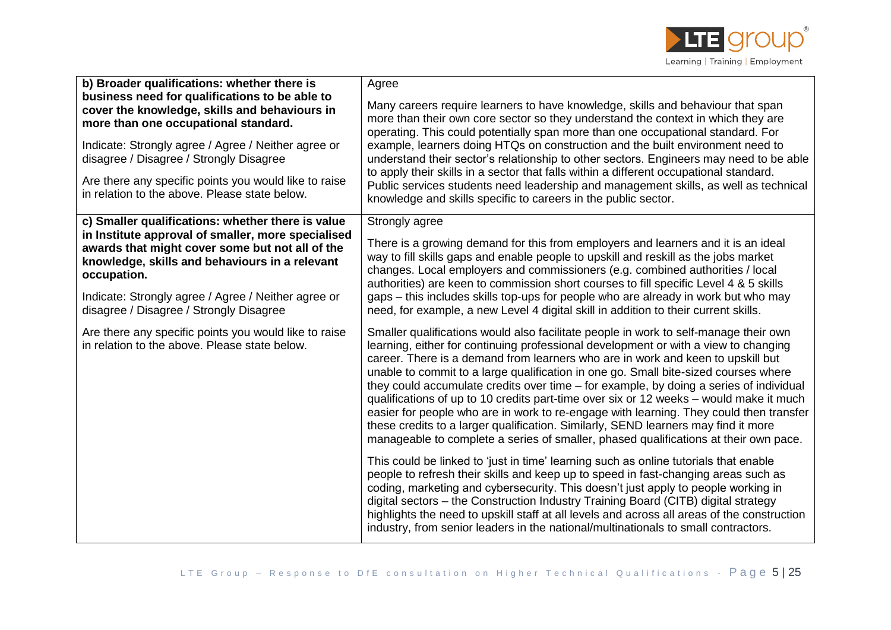

| b) Broader qualifications: whether there is                                                                                                                                                                                               | Agree                                                                                                                                                                                                                                                                                                                                                                                                                                                                                                                                                                                                                                                                                                                                                                                                             |
|-------------------------------------------------------------------------------------------------------------------------------------------------------------------------------------------------------------------------------------------|-------------------------------------------------------------------------------------------------------------------------------------------------------------------------------------------------------------------------------------------------------------------------------------------------------------------------------------------------------------------------------------------------------------------------------------------------------------------------------------------------------------------------------------------------------------------------------------------------------------------------------------------------------------------------------------------------------------------------------------------------------------------------------------------------------------------|
| business need for qualifications to be able to<br>cover the knowledge, skills and behaviours in<br>more than one occupational standard.<br>Indicate: Strongly agree / Agree / Neither agree or<br>disagree / Disagree / Strongly Disagree | Many careers require learners to have knowledge, skills and behaviour that span<br>more than their own core sector so they understand the context in which they are<br>operating. This could potentially span more than one occupational standard. For<br>example, learners doing HTQs on construction and the built environment need to<br>understand their sector's relationship to other sectors. Engineers may need to be able<br>to apply their skills in a sector that falls within a different occupational standard.                                                                                                                                                                                                                                                                                      |
| Are there any specific points you would like to raise<br>in relation to the above. Please state below.                                                                                                                                    | Public services students need leadership and management skills, as well as technical<br>knowledge and skills specific to careers in the public sector.                                                                                                                                                                                                                                                                                                                                                                                                                                                                                                                                                                                                                                                            |
| c) Smaller qualifications: whether there is value                                                                                                                                                                                         | Strongly agree                                                                                                                                                                                                                                                                                                                                                                                                                                                                                                                                                                                                                                                                                                                                                                                                    |
| in Institute approval of smaller, more specialised<br>awards that might cover some but not all of the<br>knowledge, skills and behaviours in a relevant<br>occupation.                                                                    | There is a growing demand for this from employers and learners and it is an ideal<br>way to fill skills gaps and enable people to upskill and reskill as the jobs market<br>changes. Local employers and commissioners (e.g. combined authorities / local<br>authorities) are keen to commission short courses to fill specific Level 4 & 5 skills                                                                                                                                                                                                                                                                                                                                                                                                                                                                |
| Indicate: Strongly agree / Agree / Neither agree or<br>disagree / Disagree / Strongly Disagree                                                                                                                                            | gaps – this includes skills top-ups for people who are already in work but who may<br>need, for example, a new Level 4 digital skill in addition to their current skills.                                                                                                                                                                                                                                                                                                                                                                                                                                                                                                                                                                                                                                         |
| Are there any specific points you would like to raise<br>in relation to the above. Please state below.                                                                                                                                    | Smaller qualifications would also facilitate people in work to self-manage their own<br>learning, either for continuing professional development or with a view to changing<br>career. There is a demand from learners who are in work and keen to upskill but<br>unable to commit to a large qualification in one go. Small bite-sized courses where<br>they could accumulate credits over time – for example, by doing a series of individual<br>qualifications of up to 10 credits part-time over six or 12 weeks - would make it much<br>easier for people who are in work to re-engage with learning. They could then transfer<br>these credits to a larger qualification. Similarly, SEND learners may find it more<br>manageable to complete a series of smaller, phased qualifications at their own pace. |
|                                                                                                                                                                                                                                           | This could be linked to 'just in time' learning such as online tutorials that enable<br>people to refresh their skills and keep up to speed in fast-changing areas such as<br>coding, marketing and cybersecurity. This doesn't just apply to people working in<br>digital sectors - the Construction Industry Training Board (CITB) digital strategy<br>highlights the need to upskill staff at all levels and across all areas of the construction<br>industry, from senior leaders in the national/multinationals to small contractors.                                                                                                                                                                                                                                                                        |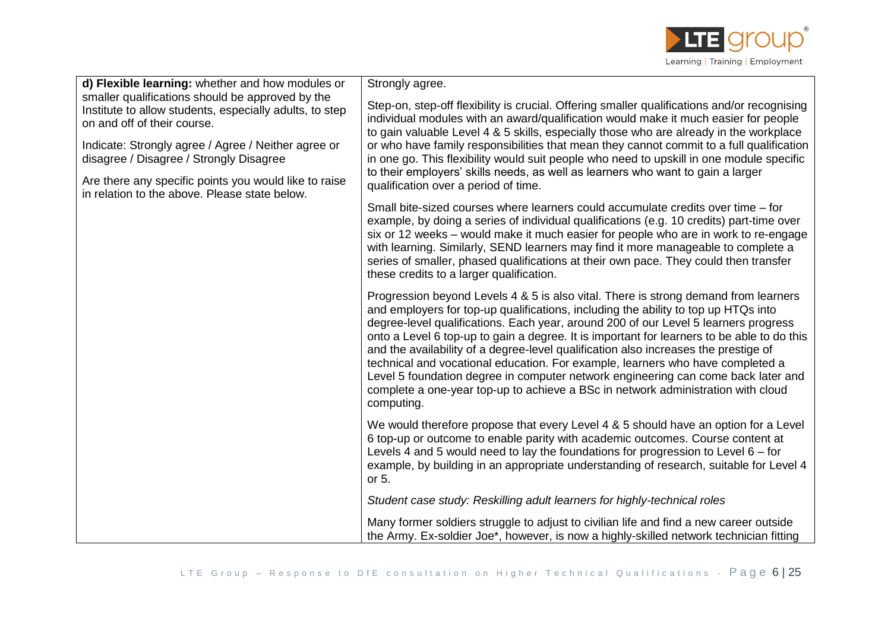

| d) Flexible learning: whether and how modules or                                                                                                                                                                                             | Strongly agree.                                                                                                                                                                                                                                                                                                                                                                                                                                                                                                                                                                                                                                                                                                                |
|----------------------------------------------------------------------------------------------------------------------------------------------------------------------------------------------------------------------------------------------|--------------------------------------------------------------------------------------------------------------------------------------------------------------------------------------------------------------------------------------------------------------------------------------------------------------------------------------------------------------------------------------------------------------------------------------------------------------------------------------------------------------------------------------------------------------------------------------------------------------------------------------------------------------------------------------------------------------------------------|
| smaller qualifications should be approved by the<br>Institute to allow students, especially adults, to step<br>on and off of their course.<br>Indicate: Strongly agree / Agree / Neither agree or<br>disagree / Disagree / Strongly Disagree | Step-on, step-off flexibility is crucial. Offering smaller qualifications and/or recognising<br>individual modules with an award/qualification would make it much easier for people<br>to gain valuable Level 4 & 5 skills, especially those who are already in the workplace<br>or who have family responsibilities that mean they cannot commit to a full qualification<br>in one go. This flexibility would suit people who need to upskill in one module specific<br>to their employers' skills needs, as well as learners who want to gain a larger                                                                                                                                                                       |
| Are there any specific points you would like to raise<br>in relation to the above. Please state below.                                                                                                                                       | qualification over a period of time.                                                                                                                                                                                                                                                                                                                                                                                                                                                                                                                                                                                                                                                                                           |
|                                                                                                                                                                                                                                              | Small bite-sized courses where learners could accumulate credits over time – for<br>example, by doing a series of individual qualifications (e.g. 10 credits) part-time over<br>six or 12 weeks – would make it much easier for people who are in work to re-engage<br>with learning. Similarly, SEND learners may find it more manageable to complete a<br>series of smaller, phased qualifications at their own pace. They could then transfer<br>these credits to a larger qualification.                                                                                                                                                                                                                                   |
|                                                                                                                                                                                                                                              | Progression beyond Levels 4 & 5 is also vital. There is strong demand from learners<br>and employers for top-up qualifications, including the ability to top up HTQs into<br>degree-level qualifications. Each year, around 200 of our Level 5 learners progress<br>onto a Level 6 top-up to gain a degree. It is important for learners to be able to do this<br>and the availability of a degree-level qualification also increases the prestige of<br>technical and vocational education. For example, learners who have completed a<br>Level 5 foundation degree in computer network engineering can come back later and<br>complete a one-year top-up to achieve a BSc in network administration with cloud<br>computing. |
|                                                                                                                                                                                                                                              | We would therefore propose that every Level 4 & 5 should have an option for a Level<br>6 top-up or outcome to enable parity with academic outcomes. Course content at<br>Levels 4 and 5 would need to lay the foundations for progression to Level $6 -$ for<br>example, by building in an appropriate understanding of research, suitable for Level 4<br>or 5.                                                                                                                                                                                                                                                                                                                                                                |
|                                                                                                                                                                                                                                              | Student case study: Reskilling adult learners for highly-technical roles                                                                                                                                                                                                                                                                                                                                                                                                                                                                                                                                                                                                                                                       |
|                                                                                                                                                                                                                                              | Many former soldiers struggle to adjust to civilian life and find a new career outside<br>the Army. Ex-soldier Joe*, however, is now a highly-skilled network technician fitting                                                                                                                                                                                                                                                                                                                                                                                                                                                                                                                                               |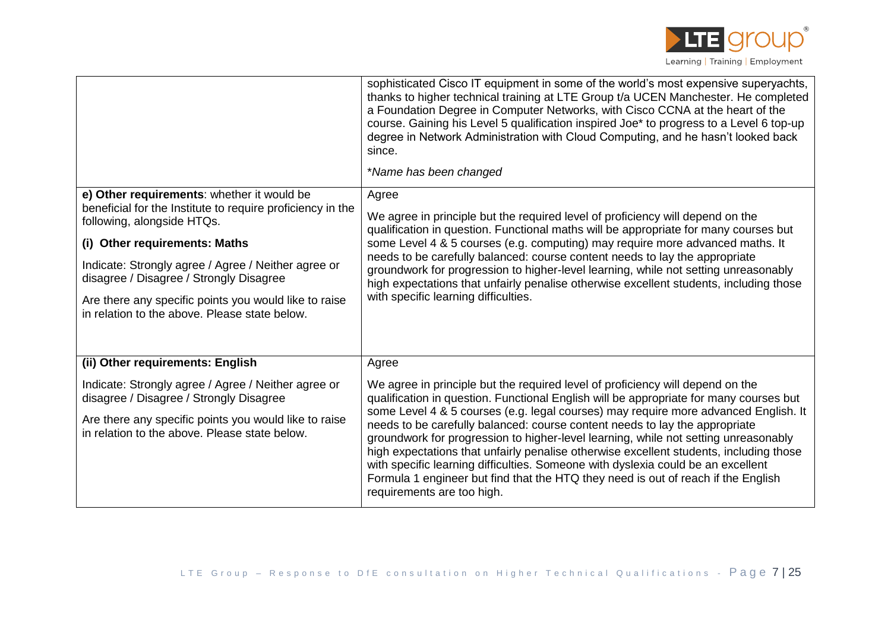

|                                                                                                        | sophisticated Cisco IT equipment in some of the world's most expensive superyachts,<br>thanks to higher technical training at LTE Group t/a UCEN Manchester. He completed<br>a Foundation Degree in Computer Networks, with Cisco CCNA at the heart of the<br>course. Gaining his Level 5 qualification inspired Joe* to progress to a Level 6 top-up<br>degree in Network Administration with Cloud Computing, and he hasn't looked back<br>since.<br>*Name has been changed                                                                              |
|--------------------------------------------------------------------------------------------------------|------------------------------------------------------------------------------------------------------------------------------------------------------------------------------------------------------------------------------------------------------------------------------------------------------------------------------------------------------------------------------------------------------------------------------------------------------------------------------------------------------------------------------------------------------------|
| e) Other requirements: whether it would be                                                             | Agree                                                                                                                                                                                                                                                                                                                                                                                                                                                                                                                                                      |
| beneficial for the Institute to require proficiency in the<br>following, alongside HTQs.               | We agree in principle but the required level of proficiency will depend on the<br>qualification in question. Functional maths will be appropriate for many courses but                                                                                                                                                                                                                                                                                                                                                                                     |
| (i) Other requirements: Maths                                                                          | some Level 4 & 5 courses (e.g. computing) may require more advanced maths. It                                                                                                                                                                                                                                                                                                                                                                                                                                                                              |
| Indicate: Strongly agree / Agree / Neither agree or<br>disagree / Disagree / Strongly Disagree         | needs to be carefully balanced: course content needs to lay the appropriate<br>groundwork for progression to higher-level learning, while not setting unreasonably<br>high expectations that unfairly penalise otherwise excellent students, including those                                                                                                                                                                                                                                                                                               |
| Are there any specific points you would like to raise<br>in relation to the above. Please state below. | with specific learning difficulties.                                                                                                                                                                                                                                                                                                                                                                                                                                                                                                                       |
|                                                                                                        |                                                                                                                                                                                                                                                                                                                                                                                                                                                                                                                                                            |
| (ii) Other requirements: English                                                                       | Agree                                                                                                                                                                                                                                                                                                                                                                                                                                                                                                                                                      |
| Indicate: Strongly agree / Agree / Neither agree or<br>disagree / Disagree / Strongly Disagree         | We agree in principle but the required level of proficiency will depend on the<br>qualification in question. Functional English will be appropriate for many courses but                                                                                                                                                                                                                                                                                                                                                                                   |
| Are there any specific points you would like to raise<br>in relation to the above. Please state below. | some Level 4 & 5 courses (e.g. legal courses) may require more advanced English. It<br>needs to be carefully balanced: course content needs to lay the appropriate<br>groundwork for progression to higher-level learning, while not setting unreasonably<br>high expectations that unfairly penalise otherwise excellent students, including those<br>with specific learning difficulties. Someone with dyslexia could be an excellent<br>Formula 1 engineer but find that the HTQ they need is out of reach if the English<br>requirements are too high. |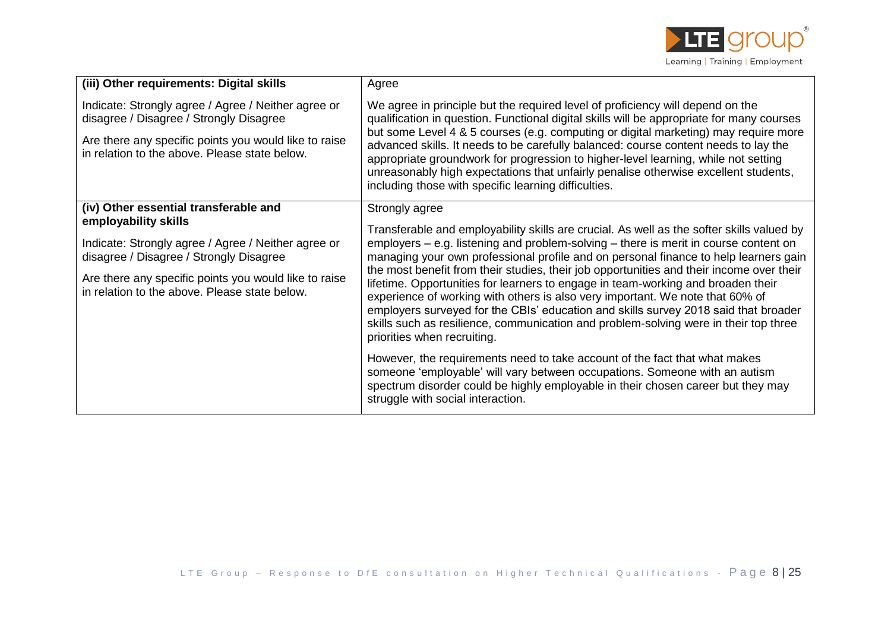

| (iii) Other requirements: Digital skills                                                                                                                                                                                                                                  | Agree                                                                                                                                                                                                                                                                                                                                                                                                                                                                                                                                                                                                                                                                                                                                                                                                                                                                                                                                                                                                                                                               |
|---------------------------------------------------------------------------------------------------------------------------------------------------------------------------------------------------------------------------------------------------------------------------|---------------------------------------------------------------------------------------------------------------------------------------------------------------------------------------------------------------------------------------------------------------------------------------------------------------------------------------------------------------------------------------------------------------------------------------------------------------------------------------------------------------------------------------------------------------------------------------------------------------------------------------------------------------------------------------------------------------------------------------------------------------------------------------------------------------------------------------------------------------------------------------------------------------------------------------------------------------------------------------------------------------------------------------------------------------------|
| Indicate: Strongly agree / Agree / Neither agree or<br>disagree / Disagree / Strongly Disagree<br>Are there any specific points you would like to raise<br>in relation to the above. Please state below.                                                                  | We agree in principle but the required level of proficiency will depend on the<br>qualification in question. Functional digital skills will be appropriate for many courses<br>but some Level 4 & 5 courses (e.g. computing or digital marketing) may require more<br>advanced skills. It needs to be carefully balanced: course content needs to lay the<br>appropriate groundwork for progression to higher-level learning, while not setting<br>unreasonably high expectations that unfairly penalise otherwise excellent students,<br>including those with specific learning difficulties.                                                                                                                                                                                                                                                                                                                                                                                                                                                                      |
| (iv) Other essential transferable and<br>employability skills<br>Indicate: Strongly agree / Agree / Neither agree or<br>disagree / Disagree / Strongly Disagree<br>Are there any specific points you would like to raise<br>in relation to the above. Please state below. | Strongly agree<br>Transferable and employability skills are crucial. As well as the softer skills valued by<br>employers $-$ e.g. listening and problem-solving $-$ there is merit in course content on<br>managing your own professional profile and on personal finance to help learners gain<br>the most benefit from their studies, their job opportunities and their income over their<br>lifetime. Opportunities for learners to engage in team-working and broaden their<br>experience of working with others is also very important. We note that 60% of<br>employers surveyed for the CBIs' education and skills survey 2018 said that broader<br>skills such as resilience, communication and problem-solving were in their top three<br>priorities when recruiting.<br>However, the requirements need to take account of the fact that what makes<br>someone 'employable' will vary between occupations. Someone with an autism<br>spectrum disorder could be highly employable in their chosen career but they may<br>struggle with social interaction. |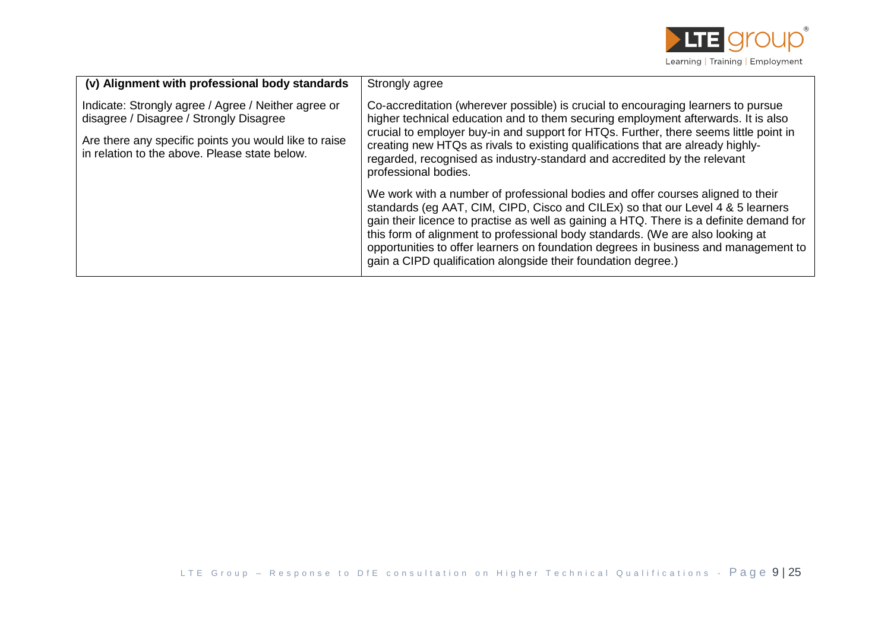

| (v) Alignment with professional body standards                                                                                                                                                           | Strongly agree                                                                                                                                                                                                                                                                                                                                                                                                                                                                                          |
|----------------------------------------------------------------------------------------------------------------------------------------------------------------------------------------------------------|---------------------------------------------------------------------------------------------------------------------------------------------------------------------------------------------------------------------------------------------------------------------------------------------------------------------------------------------------------------------------------------------------------------------------------------------------------------------------------------------------------|
| Indicate: Strongly agree / Agree / Neither agree or<br>disagree / Disagree / Strongly Disagree<br>Are there any specific points you would like to raise<br>in relation to the above. Please state below. | Co-accreditation (wherever possible) is crucial to encouraging learners to pursue<br>higher technical education and to them securing employment afterwards. It is also<br>crucial to employer buy-in and support for HTQs. Further, there seems little point in<br>creating new HTQs as rivals to existing qualifications that are already highly-<br>regarded, recognised as industry-standard and accredited by the relevant<br>professional bodies.                                                  |
|                                                                                                                                                                                                          | We work with a number of professional bodies and offer courses aligned to their<br>standards (eg AAT, CIM, CIPD, Cisco and CILEx) so that our Level 4 & 5 learners<br>gain their licence to practise as well as gaining a HTQ. There is a definite demand for<br>this form of alignment to professional body standards. (We are also looking at<br>opportunities to offer learners on foundation degrees in business and management to<br>gain a CIPD qualification alongside their foundation degree.) |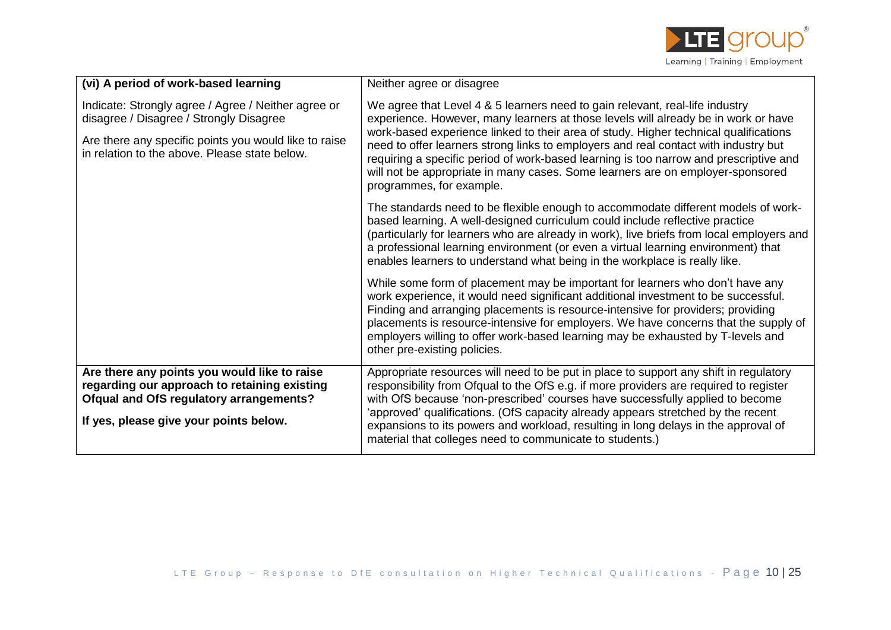

| (vi) A period of work-based learning                                                                                                                                                                     | Neither agree or disagree                                                                                                                                                                                                                                                                                                                                                                                                                                                                                                                                |
|----------------------------------------------------------------------------------------------------------------------------------------------------------------------------------------------------------|----------------------------------------------------------------------------------------------------------------------------------------------------------------------------------------------------------------------------------------------------------------------------------------------------------------------------------------------------------------------------------------------------------------------------------------------------------------------------------------------------------------------------------------------------------|
| Indicate: Strongly agree / Agree / Neither agree or<br>disagree / Disagree / Strongly Disagree<br>Are there any specific points you would like to raise<br>in relation to the above. Please state below. | We agree that Level 4 & 5 learners need to gain relevant, real-life industry<br>experience. However, many learners at those levels will already be in work or have<br>work-based experience linked to their area of study. Higher technical qualifications<br>need to offer learners strong links to employers and real contact with industry but<br>requiring a specific period of work-based learning is too narrow and prescriptive and<br>will not be appropriate in many cases. Some learners are on employer-sponsored<br>programmes, for example. |
|                                                                                                                                                                                                          | The standards need to be flexible enough to accommodate different models of work-<br>based learning. A well-designed curriculum could include reflective practice<br>(particularly for learners who are already in work), live briefs from local employers and<br>a professional learning environment (or even a virtual learning environment) that<br>enables learners to understand what being in the workplace is really like.                                                                                                                        |
|                                                                                                                                                                                                          | While some form of placement may be important for learners who don't have any<br>work experience, it would need significant additional investment to be successful.<br>Finding and arranging placements is resource-intensive for providers; providing<br>placements is resource-intensive for employers. We have concerns that the supply of<br>employers willing to offer work-based learning may be exhausted by T-levels and<br>other pre-existing policies.                                                                                         |
| Are there any points you would like to raise<br>regarding our approach to retaining existing<br><b>Ofqual and OfS regulatory arrangements?</b><br>If yes, please give your points below.                 | Appropriate resources will need to be put in place to support any shift in regulatory<br>responsibility from Ofqual to the OfS e.g. if more providers are required to register<br>with OfS because 'non-prescribed' courses have successfully applied to become<br>'approved' qualifications. (OfS capacity already appears stretched by the recent<br>expansions to its powers and workload, resulting in long delays in the approval of<br>material that colleges need to communicate to students.)                                                    |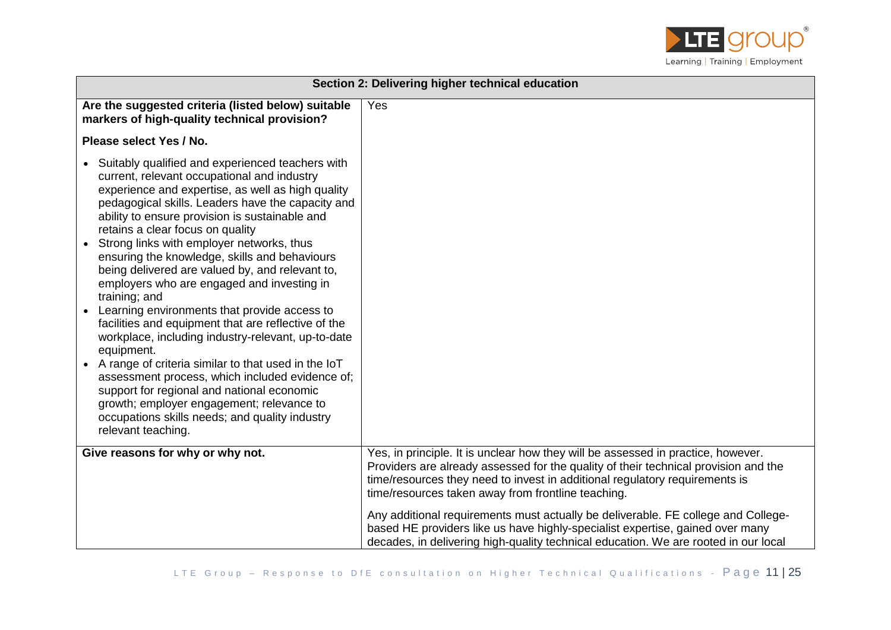

| Section 2: Delivering higher technical education                                                                                                                                                                                                                                                                                                                                                                                                                                                                                                                                                                                                                                                                                                                                                                                                                                                                                                                            |                                                                                                                                                                                                                                                                                                              |
|-----------------------------------------------------------------------------------------------------------------------------------------------------------------------------------------------------------------------------------------------------------------------------------------------------------------------------------------------------------------------------------------------------------------------------------------------------------------------------------------------------------------------------------------------------------------------------------------------------------------------------------------------------------------------------------------------------------------------------------------------------------------------------------------------------------------------------------------------------------------------------------------------------------------------------------------------------------------------------|--------------------------------------------------------------------------------------------------------------------------------------------------------------------------------------------------------------------------------------------------------------------------------------------------------------|
| Are the suggested criteria (listed below) suitable<br>markers of high-quality technical provision?                                                                                                                                                                                                                                                                                                                                                                                                                                                                                                                                                                                                                                                                                                                                                                                                                                                                          | Yes                                                                                                                                                                                                                                                                                                          |
| Please select Yes / No.                                                                                                                                                                                                                                                                                                                                                                                                                                                                                                                                                                                                                                                                                                                                                                                                                                                                                                                                                     |                                                                                                                                                                                                                                                                                                              |
| • Suitably qualified and experienced teachers with<br>current, relevant occupational and industry<br>experience and expertise, as well as high quality<br>pedagogical skills. Leaders have the capacity and<br>ability to ensure provision is sustainable and<br>retains a clear focus on quality<br>Strong links with employer networks, thus<br>ensuring the knowledge, skills and behaviours<br>being delivered are valued by, and relevant to,<br>employers who are engaged and investing in<br>training; and<br>Learning environments that provide access to<br>facilities and equipment that are reflective of the<br>workplace, including industry-relevant, up-to-date<br>equipment.<br>• A range of criteria similar to that used in the IoT<br>assessment process, which included evidence of;<br>support for regional and national economic<br>growth; employer engagement; relevance to<br>occupations skills needs; and quality industry<br>relevant teaching. |                                                                                                                                                                                                                                                                                                              |
| Give reasons for why or why not.                                                                                                                                                                                                                                                                                                                                                                                                                                                                                                                                                                                                                                                                                                                                                                                                                                                                                                                                            | Yes, in principle. It is unclear how they will be assessed in practice, however.<br>Providers are already assessed for the quality of their technical provision and the<br>time/resources they need to invest in additional regulatory requirements is<br>time/resources taken away from frontline teaching. |
|                                                                                                                                                                                                                                                                                                                                                                                                                                                                                                                                                                                                                                                                                                                                                                                                                                                                                                                                                                             | Any additional requirements must actually be deliverable. FE college and College-<br>based HE providers like us have highly-specialist expertise, gained over many<br>decades, in delivering high-quality technical education. We are rooted in our local                                                    |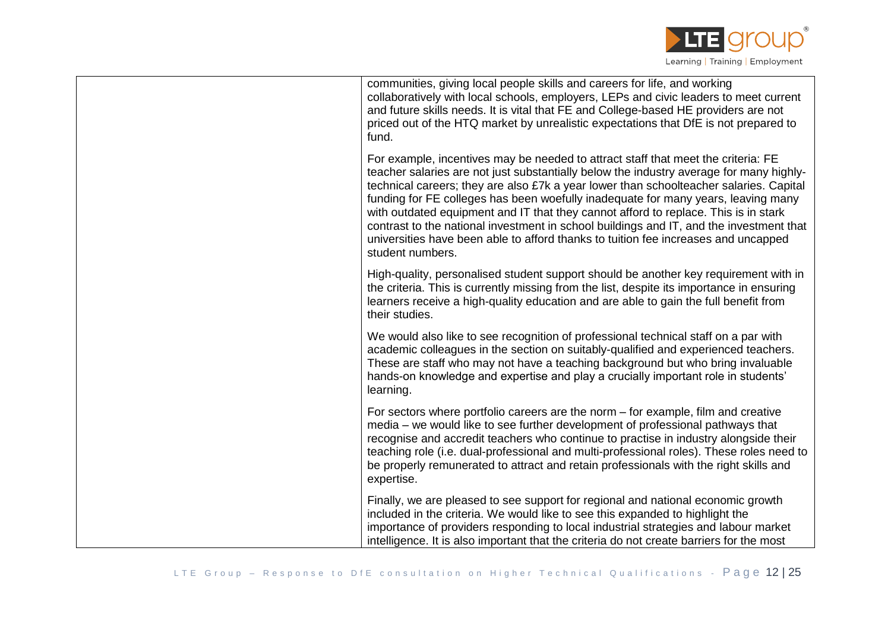

| communities, giving local people skills and careers for life, and working<br>collaboratively with local schools, employers, LEPs and civic leaders to meet current<br>and future skills needs. It is vital that FE and College-based HE providers are not<br>priced out of the HTQ market by unrealistic expectations that DfE is not prepared to<br>fund.                                                                                                                                                                                                                                                                                              |
|---------------------------------------------------------------------------------------------------------------------------------------------------------------------------------------------------------------------------------------------------------------------------------------------------------------------------------------------------------------------------------------------------------------------------------------------------------------------------------------------------------------------------------------------------------------------------------------------------------------------------------------------------------|
| For example, incentives may be needed to attract staff that meet the criteria: FE<br>teacher salaries are not just substantially below the industry average for many highly-<br>technical careers; they are also £7k a year lower than schoolteacher salaries. Capital<br>funding for FE colleges has been woefully inadequate for many years, leaving many<br>with outdated equipment and IT that they cannot afford to replace. This is in stark<br>contrast to the national investment in school buildings and IT, and the investment that<br>universities have been able to afford thanks to tuition fee increases and uncapped<br>student numbers. |
| High-quality, personalised student support should be another key requirement with in<br>the criteria. This is currently missing from the list, despite its importance in ensuring<br>learners receive a high-quality education and are able to gain the full benefit from<br>their studies.                                                                                                                                                                                                                                                                                                                                                             |
| We would also like to see recognition of professional technical staff on a par with<br>academic colleagues in the section on suitably-qualified and experienced teachers.<br>These are staff who may not have a teaching background but who bring invaluable<br>hands-on knowledge and expertise and play a crucially important role in students'<br>learning.                                                                                                                                                                                                                                                                                          |
| For sectors where portfolio careers are the norm – for example, film and creative<br>media - we would like to see further development of professional pathways that<br>recognise and accredit teachers who continue to practise in industry alongside their<br>teaching role (i.e. dual-professional and multi-professional roles). These roles need to<br>be properly remunerated to attract and retain professionals with the right skills and<br>expertise.                                                                                                                                                                                          |
| Finally, we are pleased to see support for regional and national economic growth<br>included in the criteria. We would like to see this expanded to highlight the<br>importance of providers responding to local industrial strategies and labour market<br>intelligence. It is also important that the criteria do not create barriers for the most                                                                                                                                                                                                                                                                                                    |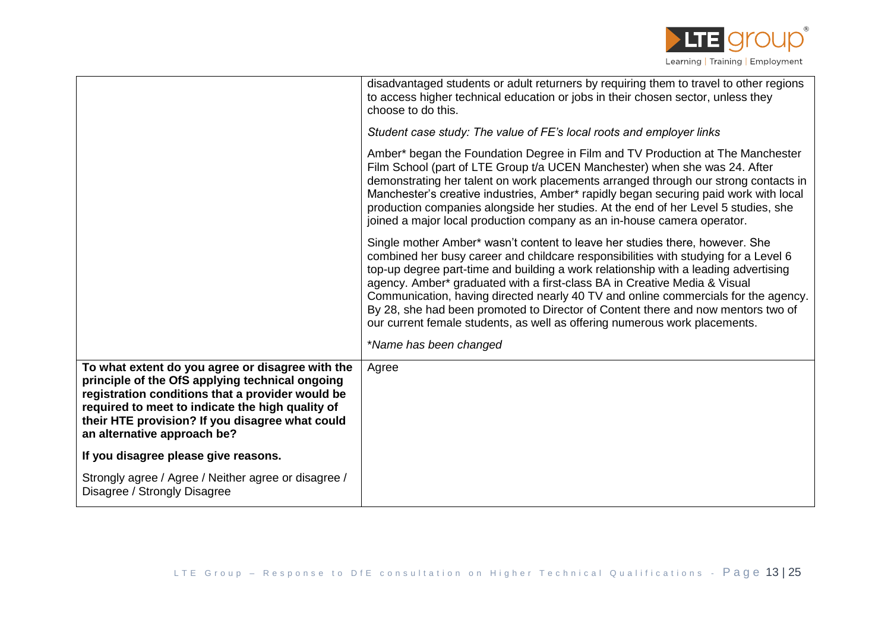

|                                                                                                                                                                                                                                                                                               | disadvantaged students or adult returners by requiring them to travel to other regions<br>to access higher technical education or jobs in their chosen sector, unless they<br>choose to do this.                                                                                                                                                                                                                                                                                                                                                                                                |
|-----------------------------------------------------------------------------------------------------------------------------------------------------------------------------------------------------------------------------------------------------------------------------------------------|-------------------------------------------------------------------------------------------------------------------------------------------------------------------------------------------------------------------------------------------------------------------------------------------------------------------------------------------------------------------------------------------------------------------------------------------------------------------------------------------------------------------------------------------------------------------------------------------------|
|                                                                                                                                                                                                                                                                                               | Student case study: The value of FE's local roots and employer links                                                                                                                                                                                                                                                                                                                                                                                                                                                                                                                            |
|                                                                                                                                                                                                                                                                                               | Amber* began the Foundation Degree in Film and TV Production at The Manchester<br>Film School (part of LTE Group t/a UCEN Manchester) when she was 24. After<br>demonstrating her talent on work placements arranged through our strong contacts in<br>Manchester's creative industries, Amber* rapidly began securing paid work with local<br>production companies alongside her studies. At the end of her Level 5 studies, she<br>joined a major local production company as an in-house camera operator.                                                                                    |
|                                                                                                                                                                                                                                                                                               | Single mother Amber* wasn't content to leave her studies there, however. She<br>combined her busy career and childcare responsibilities with studying for a Level 6<br>top-up degree part-time and building a work relationship with a leading advertising<br>agency. Amber* graduated with a first-class BA in Creative Media & Visual<br>Communication, having directed nearly 40 TV and online commercials for the agency.<br>By 28, she had been promoted to Director of Content there and now mentors two of<br>our current female students, as well as offering numerous work placements. |
|                                                                                                                                                                                                                                                                                               | *Name has been changed                                                                                                                                                                                                                                                                                                                                                                                                                                                                                                                                                                          |
| To what extent do you agree or disagree with the<br>principle of the OfS applying technical ongoing<br>registration conditions that a provider would be<br>required to meet to indicate the high quality of<br>their HTE provision? If you disagree what could<br>an alternative approach be? | Agree                                                                                                                                                                                                                                                                                                                                                                                                                                                                                                                                                                                           |
| If you disagree please give reasons.                                                                                                                                                                                                                                                          |                                                                                                                                                                                                                                                                                                                                                                                                                                                                                                                                                                                                 |
| Strongly agree / Agree / Neither agree or disagree /<br>Disagree / Strongly Disagree                                                                                                                                                                                                          |                                                                                                                                                                                                                                                                                                                                                                                                                                                                                                                                                                                                 |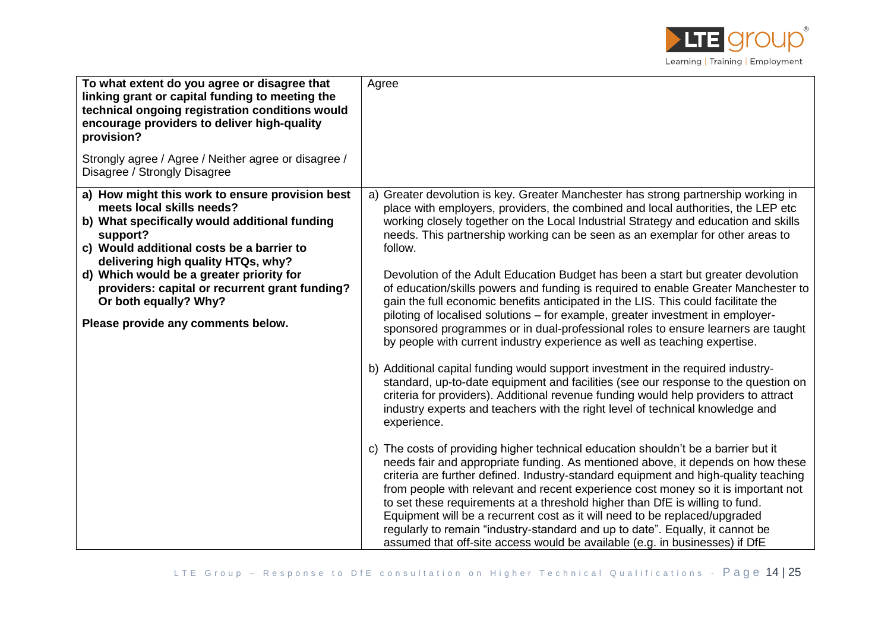

| To what extent do you agree or disagree that<br>linking grant or capital funding to meeting the<br>technical ongoing registration conditions would<br>encourage providers to deliver high-quality<br>provision?<br>Strongly agree / Agree / Neither agree or disagree /<br>Disagree / Strongly Disagree | Agree                                                                                                                                                                                                                                                                                                                                                                                                                                                                                                                                                                                                                                                                           |
|---------------------------------------------------------------------------------------------------------------------------------------------------------------------------------------------------------------------------------------------------------------------------------------------------------|---------------------------------------------------------------------------------------------------------------------------------------------------------------------------------------------------------------------------------------------------------------------------------------------------------------------------------------------------------------------------------------------------------------------------------------------------------------------------------------------------------------------------------------------------------------------------------------------------------------------------------------------------------------------------------|
| a) How might this work to ensure provision best<br>meets local skills needs?<br>b) What specifically would additional funding<br>support?<br>c) Would additional costs be a barrier to<br>delivering high quality HTQs, why?                                                                            | a) Greater devolution is key. Greater Manchester has strong partnership working in<br>place with employers, providers, the combined and local authorities, the LEP etc<br>working closely together on the Local Industrial Strategy and education and skills<br>needs. This partnership working can be seen as an exemplar for other areas to<br>follow.                                                                                                                                                                                                                                                                                                                        |
| d) Which would be a greater priority for<br>providers: capital or recurrent grant funding?<br>Or both equally? Why?<br>Please provide any comments below.                                                                                                                                               | Devolution of the Adult Education Budget has been a start but greater devolution<br>of education/skills powers and funding is required to enable Greater Manchester to<br>gain the full economic benefits anticipated in the LIS. This could facilitate the<br>piloting of localised solutions - for example, greater investment in employer-<br>sponsored programmes or in dual-professional roles to ensure learners are taught<br>by people with current industry experience as well as teaching expertise.                                                                                                                                                                  |
|                                                                                                                                                                                                                                                                                                         | b) Additional capital funding would support investment in the required industry-<br>standard, up-to-date equipment and facilities (see our response to the question on<br>criteria for providers). Additional revenue funding would help providers to attract<br>industry experts and teachers with the right level of technical knowledge and<br>experience.                                                                                                                                                                                                                                                                                                                   |
|                                                                                                                                                                                                                                                                                                         | c) The costs of providing higher technical education shouldn't be a barrier but it<br>needs fair and appropriate funding. As mentioned above, it depends on how these<br>criteria are further defined. Industry-standard equipment and high-quality teaching<br>from people with relevant and recent experience cost money so it is important not<br>to set these requirements at a threshold higher than DfE is willing to fund.<br>Equipment will be a recurrent cost as it will need to be replaced/upgraded<br>regularly to remain "industry-standard and up to date". Equally, it cannot be<br>assumed that off-site access would be available (e.g. in businesses) if DfE |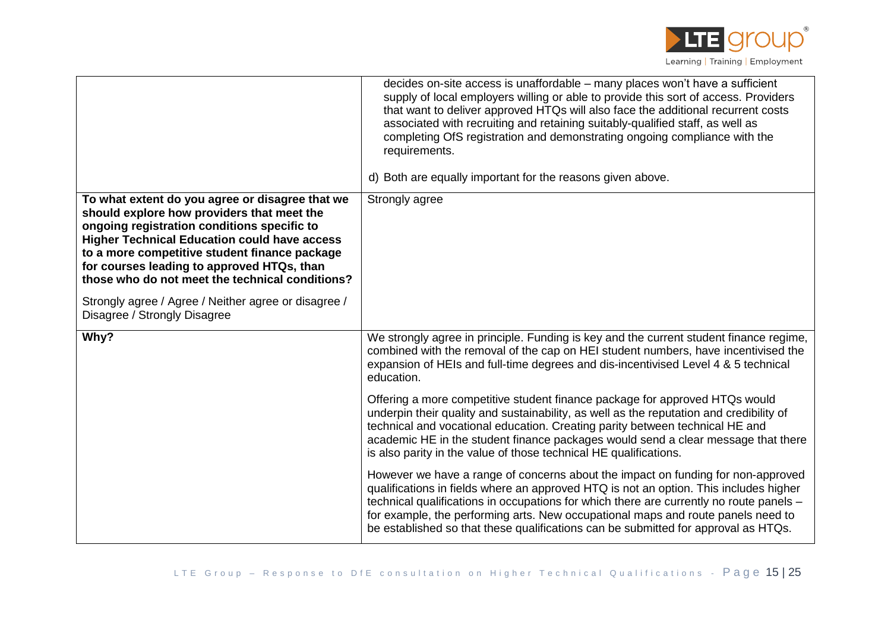

|                                                                                                                                                                                                                                                                                                                                                       | decides on-site access is unaffordable - many places won't have a sufficient<br>supply of local employers willing or able to provide this sort of access. Providers<br>that want to deliver approved HTQs will also face the additional recurrent costs<br>associated with recruiting and retaining suitably-qualified staff, as well as<br>completing OfS registration and demonstrating ongoing compliance with the<br>requirements.<br>d) Both are equally important for the reasons given above. |
|-------------------------------------------------------------------------------------------------------------------------------------------------------------------------------------------------------------------------------------------------------------------------------------------------------------------------------------------------------|------------------------------------------------------------------------------------------------------------------------------------------------------------------------------------------------------------------------------------------------------------------------------------------------------------------------------------------------------------------------------------------------------------------------------------------------------------------------------------------------------|
| To what extent do you agree or disagree that we<br>should explore how providers that meet the<br>ongoing registration conditions specific to<br><b>Higher Technical Education could have access</b><br>to a more competitive student finance package<br>for courses leading to approved HTQs, than<br>those who do not meet the technical conditions? | Strongly agree                                                                                                                                                                                                                                                                                                                                                                                                                                                                                       |
| Strongly agree / Agree / Neither agree or disagree /<br>Disagree / Strongly Disagree                                                                                                                                                                                                                                                                  |                                                                                                                                                                                                                                                                                                                                                                                                                                                                                                      |
| Why?                                                                                                                                                                                                                                                                                                                                                  | We strongly agree in principle. Funding is key and the current student finance regime,<br>combined with the removal of the cap on HEI student numbers, have incentivised the<br>expansion of HEIs and full-time degrees and dis-incentivised Level 4 & 5 technical<br>education.                                                                                                                                                                                                                     |
|                                                                                                                                                                                                                                                                                                                                                       | Offering a more competitive student finance package for approved HTQs would<br>underpin their quality and sustainability, as well as the reputation and credibility of<br>technical and vocational education. Creating parity between technical HE and<br>academic HE in the student finance packages would send a clear message that there<br>is also parity in the value of those technical HE qualifications.                                                                                     |
|                                                                                                                                                                                                                                                                                                                                                       | However we have a range of concerns about the impact on funding for non-approved<br>qualifications in fields where an approved HTQ is not an option. This includes higher<br>technical qualifications in occupations for which there are currently no route panels -<br>for example, the performing arts. New occupational maps and route panels need to<br>be established so that these qualifications can be submitted for approval as HTQs.                                                       |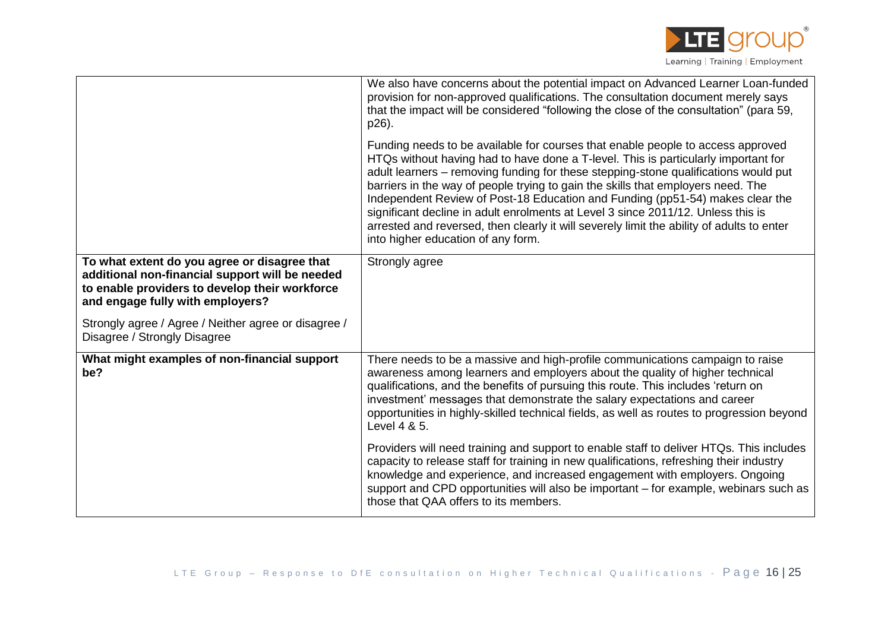

|                                                                                                                                                                                       | We also have concerns about the potential impact on Advanced Learner Loan-funded<br>provision for non-approved qualifications. The consultation document merely says<br>that the impact will be considered "following the close of the consultation" (para 59,<br>p26).                                                                                                                                                                                                                                                                                                                                                                                  |
|---------------------------------------------------------------------------------------------------------------------------------------------------------------------------------------|----------------------------------------------------------------------------------------------------------------------------------------------------------------------------------------------------------------------------------------------------------------------------------------------------------------------------------------------------------------------------------------------------------------------------------------------------------------------------------------------------------------------------------------------------------------------------------------------------------------------------------------------------------|
|                                                                                                                                                                                       | Funding needs to be available for courses that enable people to access approved<br>HTQs without having had to have done a T-level. This is particularly important for<br>adult learners – removing funding for these stepping-stone qualifications would put<br>barriers in the way of people trying to gain the skills that employers need. The<br>Independent Review of Post-18 Education and Funding (pp51-54) makes clear the<br>significant decline in adult enrolments at Level 3 since 2011/12. Unless this is<br>arrested and reversed, then clearly it will severely limit the ability of adults to enter<br>into higher education of any form. |
| To what extent do you agree or disagree that<br>additional non-financial support will be needed<br>to enable providers to develop their workforce<br>and engage fully with employers? | Strongly agree                                                                                                                                                                                                                                                                                                                                                                                                                                                                                                                                                                                                                                           |
| Strongly agree / Agree / Neither agree or disagree /<br>Disagree / Strongly Disagree                                                                                                  |                                                                                                                                                                                                                                                                                                                                                                                                                                                                                                                                                                                                                                                          |
| What might examples of non-financial support<br>be?                                                                                                                                   | There needs to be a massive and high-profile communications campaign to raise<br>awareness among learners and employers about the quality of higher technical<br>qualifications, and the benefits of pursuing this route. This includes 'return on<br>investment' messages that demonstrate the salary expectations and career<br>opportunities in highly-skilled technical fields, as well as routes to progression beyond<br>Level 4 & 5.                                                                                                                                                                                                              |
|                                                                                                                                                                                       | Providers will need training and support to enable staff to deliver HTQs. This includes<br>capacity to release staff for training in new qualifications, refreshing their industry<br>knowledge and experience, and increased engagement with employers. Ongoing<br>support and CPD opportunities will also be important – for example, webinars such as<br>those that QAA offers to its members.                                                                                                                                                                                                                                                        |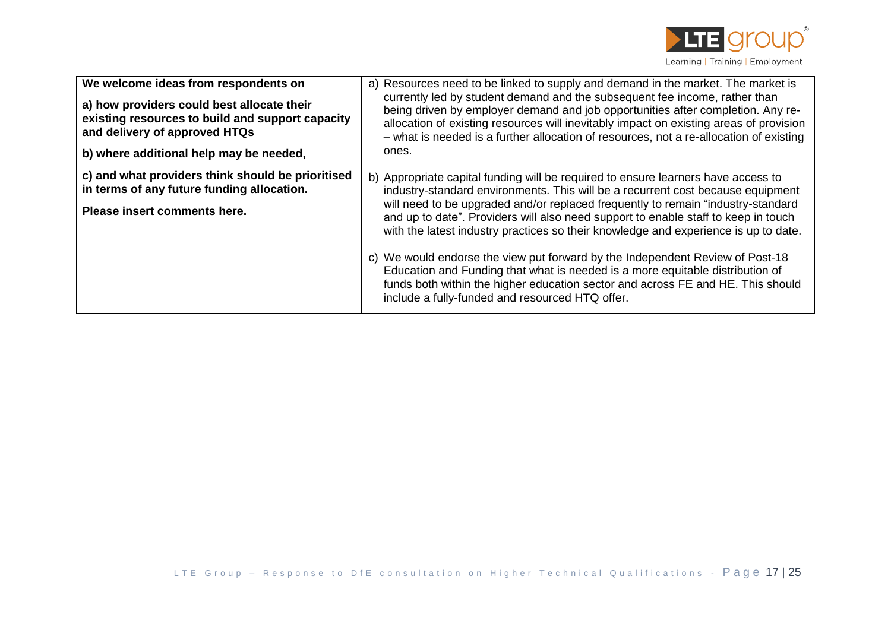

| We welcome ideas from respondents on<br>a) how providers could best allocate their<br>existing resources to build and support capacity<br>and delivery of approved HTQs<br>b) where additional help may be needed, | a) Resources need to be linked to supply and demand in the market. The market is<br>currently led by student demand and the subsequent fee income, rather than<br>being driven by employer demand and job opportunities after completion. Any re-<br>allocation of existing resources will inevitably impact on existing areas of provision<br>- what is needed is a further allocation of resources, not a re-allocation of existing<br>ones.                                                                                                                                                                                                                                                                                                 |
|--------------------------------------------------------------------------------------------------------------------------------------------------------------------------------------------------------------------|------------------------------------------------------------------------------------------------------------------------------------------------------------------------------------------------------------------------------------------------------------------------------------------------------------------------------------------------------------------------------------------------------------------------------------------------------------------------------------------------------------------------------------------------------------------------------------------------------------------------------------------------------------------------------------------------------------------------------------------------|
| c) and what providers think should be prioritised<br>in terms of any future funding allocation.<br>Please insert comments here.                                                                                    | b) Appropriate capital funding will be required to ensure learners have access to<br>industry-standard environments. This will be a recurrent cost because equipment<br>will need to be upgraded and/or replaced frequently to remain "industry-standard"<br>and up to date". Providers will also need support to enable staff to keep in touch<br>with the latest industry practices so their knowledge and experience is up to date.<br>c) We would endorse the view put forward by the Independent Review of Post-18<br>Education and Funding that what is needed is a more equitable distribution of<br>funds both within the higher education sector and across FE and HE. This should<br>include a fully-funded and resourced HTQ offer. |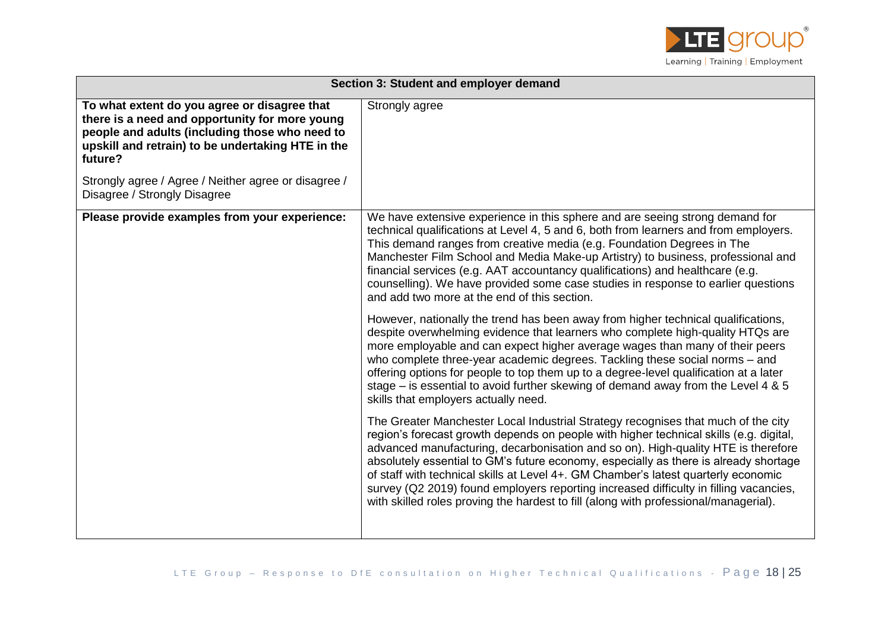

| Section 3: Student and employer demand                                                                                                                                                                           |                                                                                                                                                                                                                                                                                                                                                                                                                                                                                                                                                                                                                                 |
|------------------------------------------------------------------------------------------------------------------------------------------------------------------------------------------------------------------|---------------------------------------------------------------------------------------------------------------------------------------------------------------------------------------------------------------------------------------------------------------------------------------------------------------------------------------------------------------------------------------------------------------------------------------------------------------------------------------------------------------------------------------------------------------------------------------------------------------------------------|
| To what extent do you agree or disagree that<br>there is a need and opportunity for more young<br>people and adults (including those who need to<br>upskill and retrain) to be undertaking HTE in the<br>future? | Strongly agree                                                                                                                                                                                                                                                                                                                                                                                                                                                                                                                                                                                                                  |
| Strongly agree / Agree / Neither agree or disagree /<br>Disagree / Strongly Disagree                                                                                                                             |                                                                                                                                                                                                                                                                                                                                                                                                                                                                                                                                                                                                                                 |
| Please provide examples from your experience:                                                                                                                                                                    | We have extensive experience in this sphere and are seeing strong demand for<br>technical qualifications at Level 4, 5 and 6, both from learners and from employers.<br>This demand ranges from creative media (e.g. Foundation Degrees in The<br>Manchester Film School and Media Make-up Artistry) to business, professional and<br>financial services (e.g. AAT accountancy qualifications) and healthcare (e.g.<br>counselling). We have provided some case studies in response to earlier questions<br>and add two more at the end of this section.                                                                        |
|                                                                                                                                                                                                                  | However, nationally the trend has been away from higher technical qualifications,<br>despite overwhelming evidence that learners who complete high-quality HTQs are<br>more employable and can expect higher average wages than many of their peers<br>who complete three-year academic degrees. Tackling these social norms - and<br>offering options for people to top them up to a degree-level qualification at a later<br>stage – is essential to avoid further skewing of demand away from the Level 4 & 5<br>skills that employers actually need.                                                                        |
|                                                                                                                                                                                                                  | The Greater Manchester Local Industrial Strategy recognises that much of the city<br>region's forecast growth depends on people with higher technical skills (e.g. digital,<br>advanced manufacturing, decarbonisation and so on). High-quality HTE is therefore<br>absolutely essential to GM's future economy, especially as there is already shortage<br>of staff with technical skills at Level 4+. GM Chamber's latest quarterly economic<br>survey (Q2 2019) found employers reporting increased difficulty in filling vacancies,<br>with skilled roles proving the hardest to fill (along with professional/managerial). |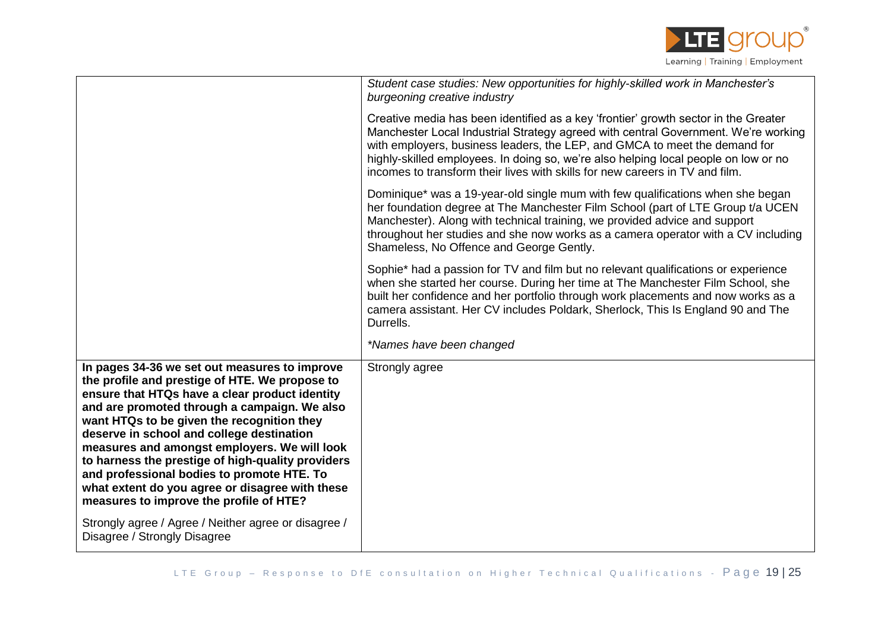

|                                                                                                                                                                                                                                                                                                                                                                                                                                                                                                                                               | Student case studies: New opportunities for highly-skilled work in Manchester's<br>burgeoning creative industry                                                                                                                                                                                                                                                                                                                |
|-----------------------------------------------------------------------------------------------------------------------------------------------------------------------------------------------------------------------------------------------------------------------------------------------------------------------------------------------------------------------------------------------------------------------------------------------------------------------------------------------------------------------------------------------|--------------------------------------------------------------------------------------------------------------------------------------------------------------------------------------------------------------------------------------------------------------------------------------------------------------------------------------------------------------------------------------------------------------------------------|
|                                                                                                                                                                                                                                                                                                                                                                                                                                                                                                                                               | Creative media has been identified as a key 'frontier' growth sector in the Greater<br>Manchester Local Industrial Strategy agreed with central Government. We're working<br>with employers, business leaders, the LEP, and GMCA to meet the demand for<br>highly-skilled employees. In doing so, we're also helping local people on low or no<br>incomes to transform their lives with skills for new careers in TV and film. |
|                                                                                                                                                                                                                                                                                                                                                                                                                                                                                                                                               | Dominique* was a 19-year-old single mum with few qualifications when she began<br>her foundation degree at The Manchester Film School (part of LTE Group t/a UCEN<br>Manchester). Along with technical training, we provided advice and support<br>throughout her studies and she now works as a camera operator with a CV including<br>Shameless, No Offence and George Gently.                                               |
|                                                                                                                                                                                                                                                                                                                                                                                                                                                                                                                                               | Sophie* had a passion for TV and film but no relevant qualifications or experience<br>when she started her course. During her time at The Manchester Film School, she<br>built her confidence and her portfolio through work placements and now works as a<br>camera assistant. Her CV includes Poldark, Sherlock, This Is England 90 and The<br>Durrells.                                                                     |
|                                                                                                                                                                                                                                                                                                                                                                                                                                                                                                                                               | *Names have been changed                                                                                                                                                                                                                                                                                                                                                                                                       |
| In pages 34-36 we set out measures to improve<br>the profile and prestige of HTE. We propose to<br>ensure that HTQs have a clear product identity<br>and are promoted through a campaign. We also<br>want HTQs to be given the recognition they<br>deserve in school and college destination<br>measures and amongst employers. We will look<br>to harness the prestige of high-quality providers<br>and professional bodies to promote HTE. To<br>what extent do you agree or disagree with these<br>measures to improve the profile of HTE? | Strongly agree                                                                                                                                                                                                                                                                                                                                                                                                                 |
| Strongly agree / Agree / Neither agree or disagree /<br>Disagree / Strongly Disagree                                                                                                                                                                                                                                                                                                                                                                                                                                                          |                                                                                                                                                                                                                                                                                                                                                                                                                                |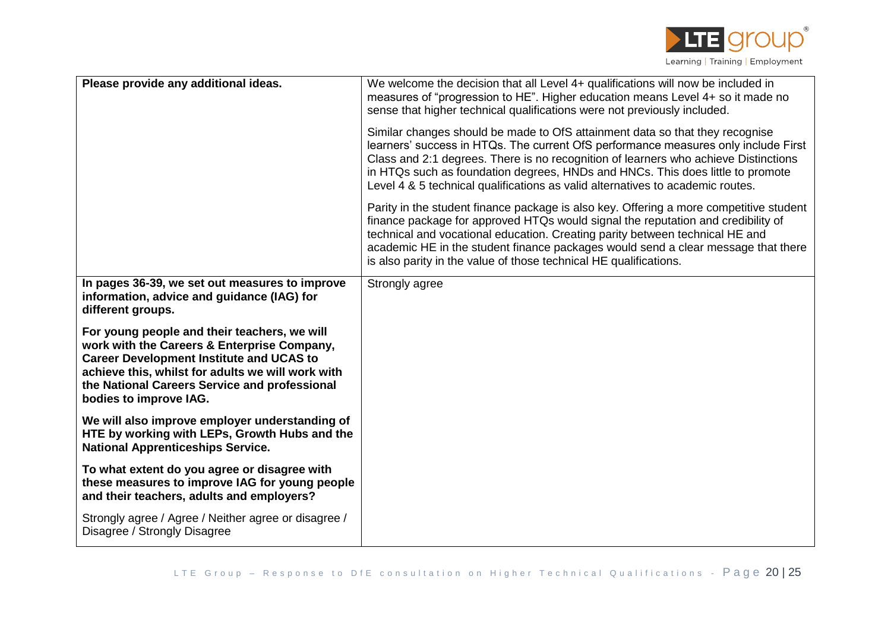

| Please provide any additional ideas.                                                                                                                                                                                                                                           | We welcome the decision that all Level 4+ qualifications will now be included in<br>measures of "progression to HE". Higher education means Level 4+ so it made no<br>sense that higher technical qualifications were not previously included.<br>Similar changes should be made to OfS attainment data so that they recognise                                                                                       |
|--------------------------------------------------------------------------------------------------------------------------------------------------------------------------------------------------------------------------------------------------------------------------------|----------------------------------------------------------------------------------------------------------------------------------------------------------------------------------------------------------------------------------------------------------------------------------------------------------------------------------------------------------------------------------------------------------------------|
|                                                                                                                                                                                                                                                                                | learners' success in HTQs. The current OfS performance measures only include First<br>Class and 2:1 degrees. There is no recognition of learners who achieve Distinctions<br>in HTQs such as foundation degrees, HNDs and HNCs. This does little to promote<br>Level 4 & 5 technical qualifications as valid alternatives to academic routes.                                                                        |
|                                                                                                                                                                                                                                                                                | Parity in the student finance package is also key. Offering a more competitive student<br>finance package for approved HTQs would signal the reputation and credibility of<br>technical and vocational education. Creating parity between technical HE and<br>academic HE in the student finance packages would send a clear message that there<br>is also parity in the value of those technical HE qualifications. |
| In pages 36-39, we set out measures to improve<br>information, advice and guidance (IAG) for<br>different groups.                                                                                                                                                              | Strongly agree                                                                                                                                                                                                                                                                                                                                                                                                       |
| For young people and their teachers, we will<br>work with the Careers & Enterprise Company,<br><b>Career Development Institute and UCAS to</b><br>achieve this, whilst for adults we will work with<br>the National Careers Service and professional<br>bodies to improve IAG. |                                                                                                                                                                                                                                                                                                                                                                                                                      |
| We will also improve employer understanding of<br>HTE by working with LEPs, Growth Hubs and the<br><b>National Apprenticeships Service.</b>                                                                                                                                    |                                                                                                                                                                                                                                                                                                                                                                                                                      |
| To what extent do you agree or disagree with<br>these measures to improve IAG for young people<br>and their teachers, adults and employers?                                                                                                                                    |                                                                                                                                                                                                                                                                                                                                                                                                                      |
| Strongly agree / Agree / Neither agree or disagree /<br>Disagree / Strongly Disagree                                                                                                                                                                                           |                                                                                                                                                                                                                                                                                                                                                                                                                      |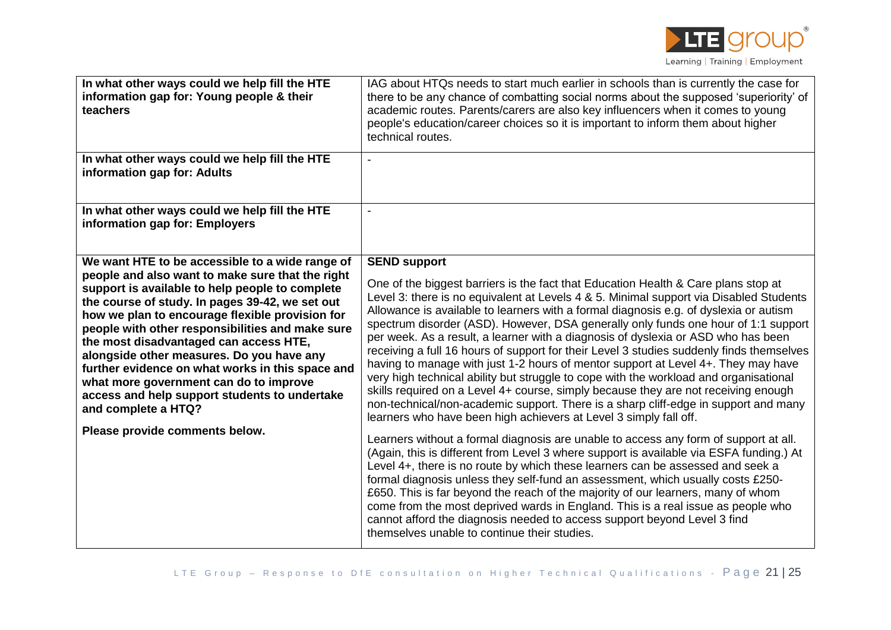

| In what other ways could we help fill the HTE<br>information gap for: Young people & their<br>teachers                                                                                                                                                                                                                                                                                                                                                                                                                                                                                                          | IAG about HTQs needs to start much earlier in schools than is currently the case for<br>there to be any chance of combatting social norms about the supposed 'superiority' of<br>academic routes. Parents/carers are also key influencers when it comes to young<br>people's education/career choices so it is important to inform them about higher<br>technical routes.                                                                                                                                                                                                                                                                                                                                                                                                                                                                                                                                                                                                                                                                                                                                                                                                                                                                                                                                                                                                                                                                                                                                                                                                                                                                                       |
|-----------------------------------------------------------------------------------------------------------------------------------------------------------------------------------------------------------------------------------------------------------------------------------------------------------------------------------------------------------------------------------------------------------------------------------------------------------------------------------------------------------------------------------------------------------------------------------------------------------------|-----------------------------------------------------------------------------------------------------------------------------------------------------------------------------------------------------------------------------------------------------------------------------------------------------------------------------------------------------------------------------------------------------------------------------------------------------------------------------------------------------------------------------------------------------------------------------------------------------------------------------------------------------------------------------------------------------------------------------------------------------------------------------------------------------------------------------------------------------------------------------------------------------------------------------------------------------------------------------------------------------------------------------------------------------------------------------------------------------------------------------------------------------------------------------------------------------------------------------------------------------------------------------------------------------------------------------------------------------------------------------------------------------------------------------------------------------------------------------------------------------------------------------------------------------------------------------------------------------------------------------------------------------------------|
| In what other ways could we help fill the HTE<br>information gap for: Adults                                                                                                                                                                                                                                                                                                                                                                                                                                                                                                                                    |                                                                                                                                                                                                                                                                                                                                                                                                                                                                                                                                                                                                                                                                                                                                                                                                                                                                                                                                                                                                                                                                                                                                                                                                                                                                                                                                                                                                                                                                                                                                                                                                                                                                 |
| In what other ways could we help fill the HTE<br>information gap for: Employers                                                                                                                                                                                                                                                                                                                                                                                                                                                                                                                                 | $\blacksquare$                                                                                                                                                                                                                                                                                                                                                                                                                                                                                                                                                                                                                                                                                                                                                                                                                                                                                                                                                                                                                                                                                                                                                                                                                                                                                                                                                                                                                                                                                                                                                                                                                                                  |
| We want HTE to be accessible to a wide range of<br>people and also want to make sure that the right<br>support is available to help people to complete<br>the course of study. In pages 39-42, we set out<br>how we plan to encourage flexible provision for<br>people with other responsibilities and make sure<br>the most disadvantaged can access HTE,<br>alongside other measures. Do you have any<br>further evidence on what works in this space and<br>what more government can do to improve<br>access and help support students to undertake<br>and complete a HTQ?<br>Please provide comments below. | <b>SEND support</b><br>One of the biggest barriers is the fact that Education Health & Care plans stop at<br>Level 3: there is no equivalent at Levels 4 & 5. Minimal support via Disabled Students<br>Allowance is available to learners with a formal diagnosis e.g. of dyslexia or autism<br>spectrum disorder (ASD). However, DSA generally only funds one hour of 1:1 support<br>per week. As a result, a learner with a diagnosis of dyslexia or ASD who has been<br>receiving a full 16 hours of support for their Level 3 studies suddenly finds themselves<br>having to manage with just 1-2 hours of mentor support at Level 4+. They may have<br>very high technical ability but struggle to cope with the workload and organisational<br>skills required on a Level 4+ course, simply because they are not receiving enough<br>non-technical/non-academic support. There is a sharp cliff-edge in support and many<br>learners who have been high achievers at Level 3 simply fall off.<br>Learners without a formal diagnosis are unable to access any form of support at all.<br>(Again, this is different from Level 3 where support is available via ESFA funding.) At<br>Level 4+, there is no route by which these learners can be assessed and seek a<br>formal diagnosis unless they self-fund an assessment, which usually costs £250-<br>£650. This is far beyond the reach of the majority of our learners, many of whom<br>come from the most deprived wards in England. This is a real issue as people who<br>cannot afford the diagnosis needed to access support beyond Level 3 find<br>themselves unable to continue their studies. |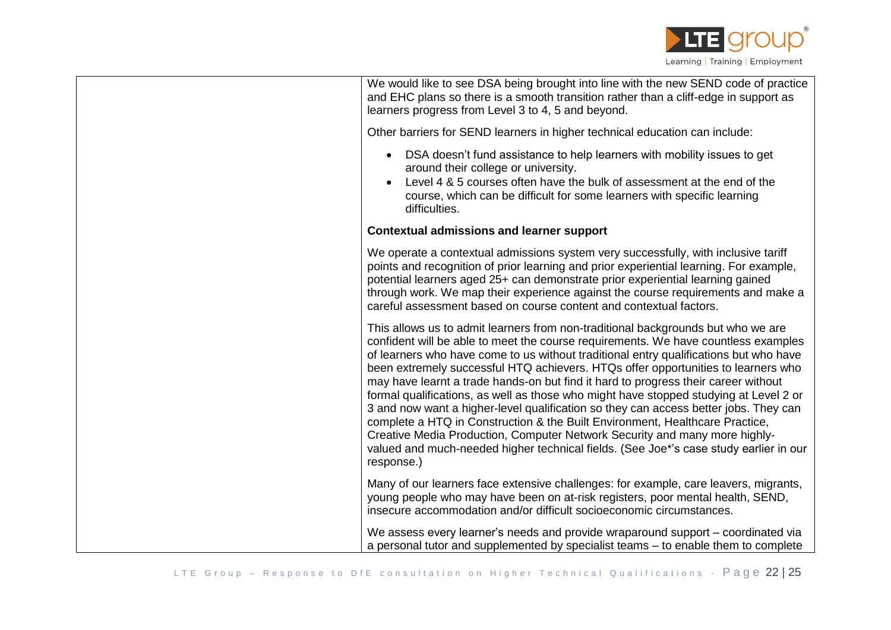

We would like to see DSA being brought into line with the new SEND code of practice and EHC plans so there is a smooth transition rather than a cliff-edge in support as learners progress from Level 3 to 4, 5 and beyond.

Other barriers for SEND learners in higher technical education can include:

- DSA doesn't fund assistance to help learners with mobility issues to get around their college or university.
- Level 4 & 5 courses often have the bulk of assessment at the end of the course, which can be difficult for some learners with specific learning difficulties.

## **Contextual admissions and learner support**

We operate a contextual admissions system very successfully, with inclusive tariff points and recognition of prior learning and prior experiential learning. For example, potential learners aged 25+ can demonstrate prior experiential learning gained through work. We map their experience against the course requirements and make a careful assessment based on course content and contextual factors.

This allows us to admit learners from non-traditional backgrounds but who we are confident will be able to meet the course requirements. We have countless examples of learners who have come to us without traditional entry qualifications but who have been extremely successful HTQ achievers. HTQs offer opportunities to learners who may have learnt a trade hands-on but find it hard to progress their career without formal qualifications, as well as those who might have stopped studying at Level 2 or 3 and now want a higher-level qualification so they can access better jobs. They can complete a HTQ in Construction & the Built Environment, Healthcare Practice, Creative Media Production, Computer Network Security and many more highlyvalued and much-needed higher technical fields. (See Joe\*'s case study earlier in our response.)

Many of our learners face extensive challenges: for example, care leavers, migrants, young people who may have been on at-risk registers, poor mental health, SEND, insecure accommodation and/or difficult socioeconomic circumstances.

We assess every learner's needs and provide wraparound support – coordinated via a personal tutor and supplemented by specialist teams – to enable them to complete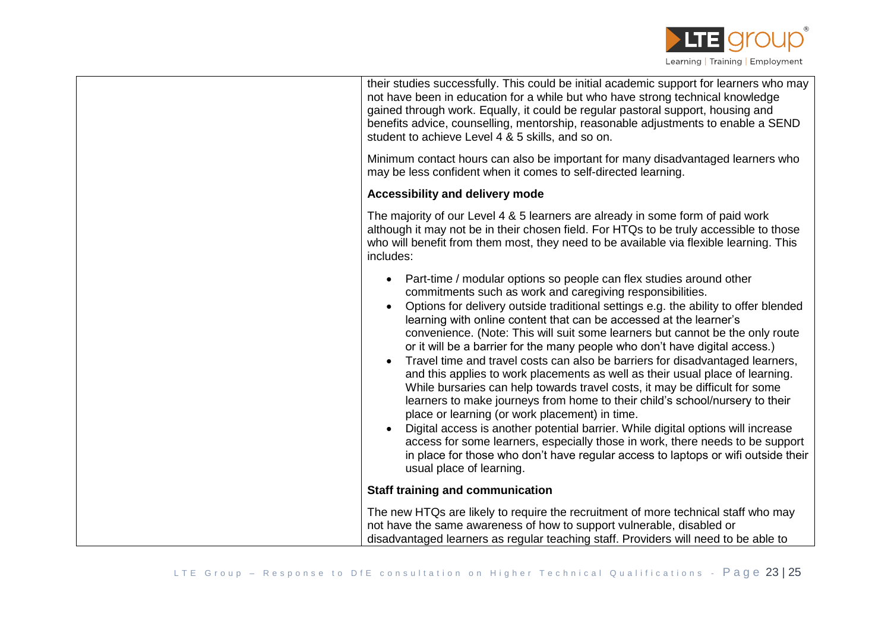

| their studies successfully. This could be initial academic support for learners who may |
|-----------------------------------------------------------------------------------------|
| not have been in education for a while but who have strong technical knowledge          |
| gained through work. Equally, it could be regular pastoral support, housing and         |
| benefits advice, counselling, mentorship, reasonable adjustments to enable a SEND       |
| student to achieve Level 4 & 5 skills, and so on.                                       |
|                                                                                         |

Minimum contact hours can also be important for many disadvantaged learners who may be less confident when it comes to self-directed learning.

## **Accessibility and delivery mode**

The majority of our Level 4 & 5 learners are already in some form of paid work although it may not be in their chosen field. For HTQs to be truly accessible to those who will benefit from them most, they need to be available via flexible learning. This includes:

| • Part-time / modular options so people can flex studies around other |
|-----------------------------------------------------------------------|
| commitments such as work and caregiving responsibilities.             |

- Options for delivery outside traditional settings e.g. the ability to offer blended learning with online content that can be accessed at the learner's convenience. (Note: This will suit some learners but cannot be the only route or it will be a barrier for the many people who don't have digital access.)
- Travel time and travel costs can also be barriers for disadvantaged learners, and this applies to work placements as well as their usual place of learning. While bursaries can help towards travel costs, it may be difficult for some learners to make journeys from home to their child's school/nursery to their place or learning (or work placement) in time.
- Digital access is another potential barrier. While digital options will increase access for some learners, especially those in work, there needs to be support in place for those who don't have regular access to laptops or wifi outside their usual place of learning.

## **Staff training and communication**

The new HTQs are likely to require the recruitment of more technical staff who may not have the same awareness of how to support vulnerable, disabled or disadvantaged learners as regular teaching staff. Providers will need to be able to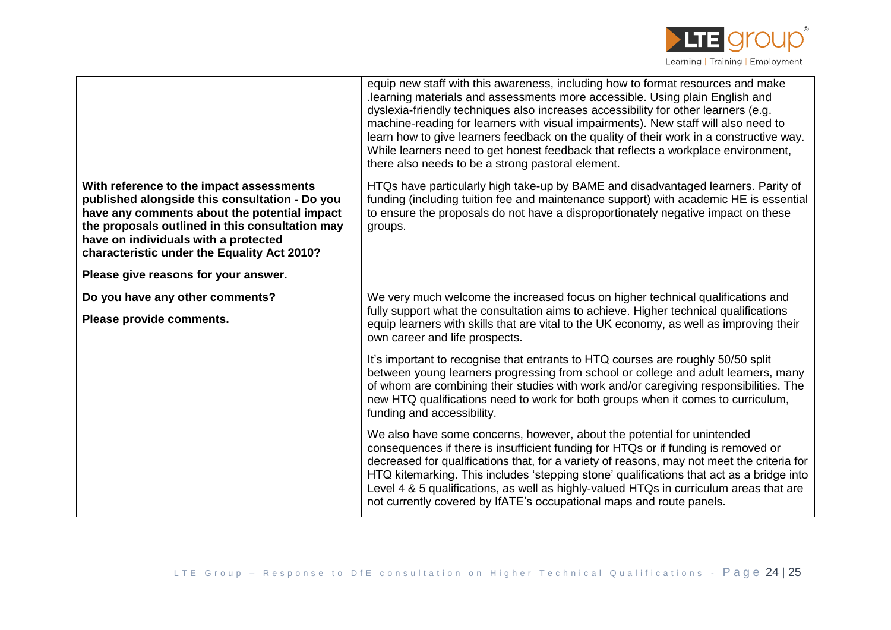

|                                                                                                                                                                                                                                                                                                                              | equip new staff with this awareness, including how to format resources and make<br>learning materials and assessments more accessible. Using plain English and<br>dyslexia-friendly techniques also increases accessibility for other learners (e.g.<br>machine-reading for learners with visual impairments). New staff will also need to<br>learn how to give learners feedback on the quality of their work in a constructive way.<br>While learners need to get honest feedback that reflects a workplace environment,<br>there also needs to be a strong pastoral element. |
|------------------------------------------------------------------------------------------------------------------------------------------------------------------------------------------------------------------------------------------------------------------------------------------------------------------------------|---------------------------------------------------------------------------------------------------------------------------------------------------------------------------------------------------------------------------------------------------------------------------------------------------------------------------------------------------------------------------------------------------------------------------------------------------------------------------------------------------------------------------------------------------------------------------------|
| With reference to the impact assessments<br>published alongside this consultation - Do you<br>have any comments about the potential impact<br>the proposals outlined in this consultation may<br>have on individuals with a protected<br>characteristic under the Equality Act 2010?<br>Please give reasons for your answer. | HTQs have particularly high take-up by BAME and disadvantaged learners. Parity of<br>funding (including tuition fee and maintenance support) with academic HE is essential<br>to ensure the proposals do not have a disproportionately negative impact on these<br>groups.                                                                                                                                                                                                                                                                                                      |
| Do you have any other comments?<br>Please provide comments.                                                                                                                                                                                                                                                                  | We very much welcome the increased focus on higher technical qualifications and<br>fully support what the consultation aims to achieve. Higher technical qualifications<br>equip learners with skills that are vital to the UK economy, as well as improving their<br>own career and life prospects.                                                                                                                                                                                                                                                                            |
|                                                                                                                                                                                                                                                                                                                              | It's important to recognise that entrants to HTQ courses are roughly 50/50 split<br>between young learners progressing from school or college and adult learners, many<br>of whom are combining their studies with work and/or caregiving responsibilities. The<br>new HTQ qualifications need to work for both groups when it comes to curriculum,<br>funding and accessibility.                                                                                                                                                                                               |
|                                                                                                                                                                                                                                                                                                                              | We also have some concerns, however, about the potential for unintended<br>consequences if there is insufficient funding for HTQs or if funding is removed or<br>decreased for qualifications that, for a variety of reasons, may not meet the criteria for<br>HTQ kitemarking. This includes 'stepping stone' qualifications that act as a bridge into<br>Level 4 & 5 qualifications, as well as highly-valued HTQs in curriculum areas that are<br>not currently covered by IfATE's occupational maps and route panels.                                                       |